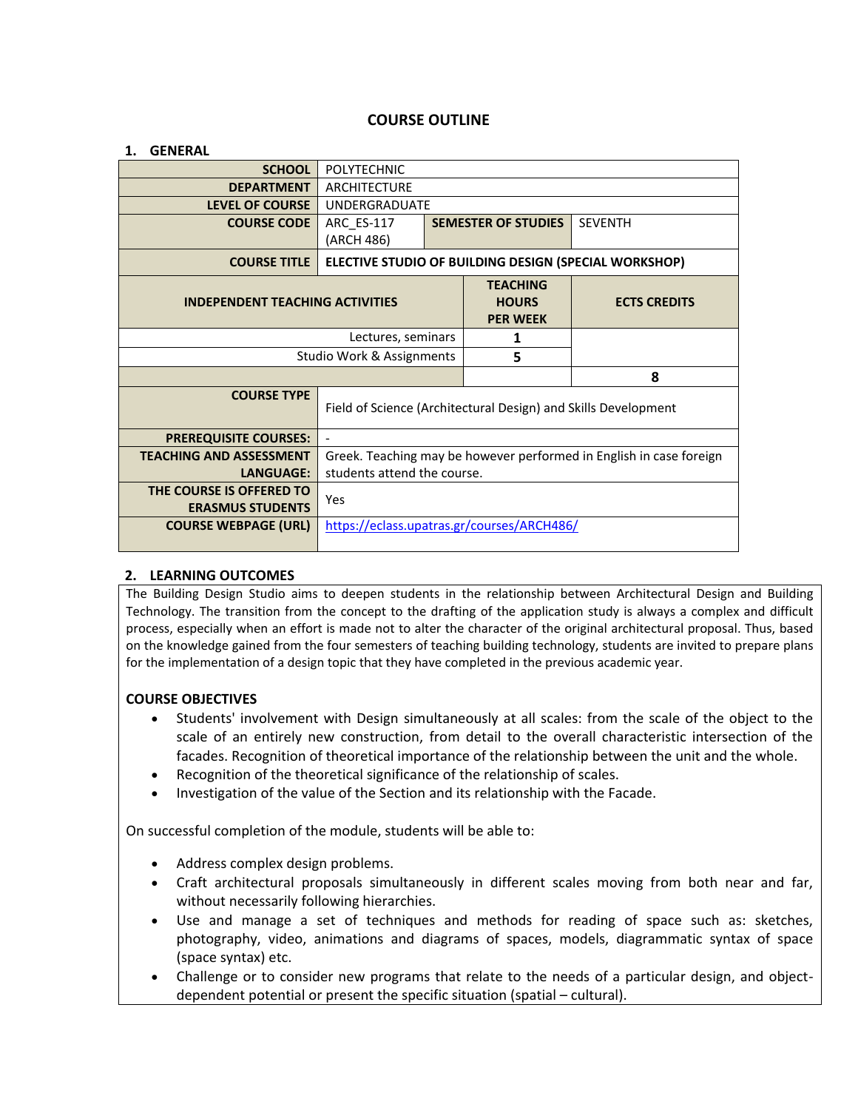# **COURSE OUTLINE**

| <b>GENERAL</b>                                      |                                                                     |  |                                 |                     |  |
|-----------------------------------------------------|---------------------------------------------------------------------|--|---------------------------------|---------------------|--|
| <b>SCHOOL</b>                                       | <b>POLYTECHNIC</b>                                                  |  |                                 |                     |  |
| <b>DEPARTMENT</b>                                   | <b>ARCHITECTURE</b>                                                 |  |                                 |                     |  |
| <b>LEVEL OF COURSE</b>                              | <b>UNDERGRADUATE</b>                                                |  |                                 |                     |  |
| <b>COURSE CODE</b>                                  | <b>ARC ES-117</b>                                                   |  | <b>SEMESTER OF STUDIES</b>      | <b>SEVENTH</b>      |  |
|                                                     | (ARCH 486)                                                          |  |                                 |                     |  |
| <b>COURSE TITLE</b>                                 | ELECTIVE STUDIO OF BUILDING DESIGN (SPECIAL WORKSHOP)               |  |                                 |                     |  |
|                                                     |                                                                     |  | <b>TEACHING</b><br><b>HOURS</b> | <b>ECTS CREDITS</b> |  |
| <b>INDEPENDENT TEACHING ACTIVITIES</b>              |                                                                     |  | <b>PER WEEK</b>                 |                     |  |
| Lectures, seminars                                  |                                                                     |  | 1                               |                     |  |
| Studio Work & Assignments                           |                                                                     |  | 5                               |                     |  |
|                                                     |                                                                     |  |                                 | 8                   |  |
| <b>COURSE TYPE</b>                                  |                                                                     |  |                                 |                     |  |
|                                                     | Field of Science (Architectural Design) and Skills Development      |  |                                 |                     |  |
| <b>PREREQUISITE COURSES:</b>                        | $\sim$                                                              |  |                                 |                     |  |
| <b>TEACHING AND ASSESSMENT</b>                      | Greek. Teaching may be however performed in English in case foreign |  |                                 |                     |  |
| <b>LANGUAGE:</b>                                    | students attend the course.                                         |  |                                 |                     |  |
| THE COURSE IS OFFERED TO<br><b>ERASMUS STUDENTS</b> | Yes                                                                 |  |                                 |                     |  |
| <b>COURSE WEBPAGE (URL)</b>                         | https://eclass.upatras.gr/courses/ARCH486/                          |  |                                 |                     |  |
|                                                     |                                                                     |  |                                 |                     |  |

#### **2. LEARNING OUTCOMES**

The Building Design Studio aims to deepen students in the relationship between Architectural Design and Building Technology. The transition from the concept to the drafting of the application study is always a complex and difficult process, especially when an effort is made not to alter the character of the original architectural proposal. Thus, based on the knowledge gained from the four semesters of teaching building technology, students are invited to prepare plans for the implementation of a design topic that they have completed in the previous academic year.

## **COURSE OBJECTIVES**

- Students' involvement with Design simultaneously at all scales: from the scale of the object to the scale of an entirely new construction, from detail to the overall characteristic intersection of the facades. Recognition of theoretical importance of the relationship between the unit and the whole.
- Recognition of the theoretical significance of the relationship of scales.
- Investigation of the value of the Section and its relationship with the Facade.

On successful completion of the module, students will be able to:

- Address complex design problems.
- Craft architectural proposals simultaneously in different scales moving from both near and far, without necessarily following hierarchies.
- Use and manage a set of techniques and methods for reading of space such as: sketches, photography, video, animations and diagrams of spaces, models, diagrammatic syntax of space (space syntax) etc.
- Challenge or to consider new programs that relate to the needs of a particular design, and objectdependent potential or present the specific situation (spatial – cultural).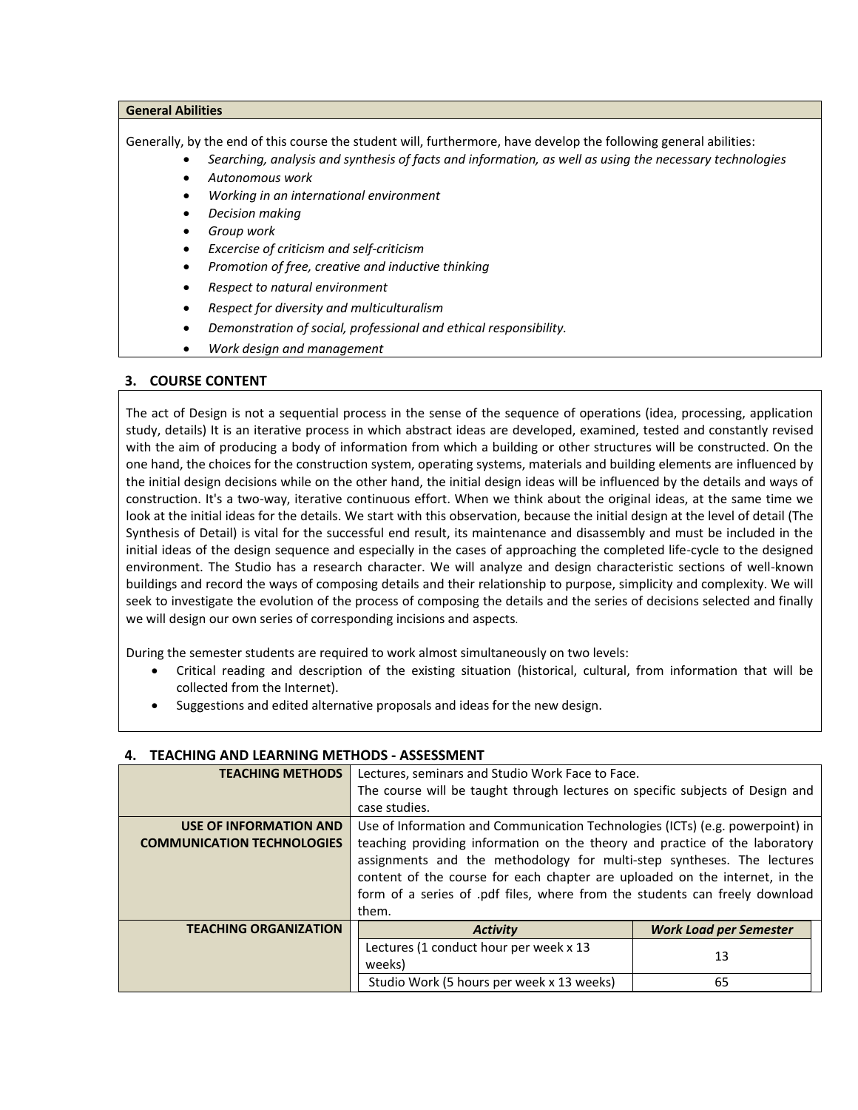#### **General Abilities**

Generally, by the end of this course the student will, furthermore, have develop the following general abilities:

- *Searching, analysis and synthesis of facts and information, as well as using the necessary technologies*
- *Autonomous work*
- *Working in an international environment*
- *Decision making*
- *Group work*
- *Excercise of criticism and self-criticism*
- *Promotion of free, creative and inductive thinking*
- *Respect to natural environment*
- *Respect for diversity and multiculturalism*
- *Demonstration of social, professional and ethical responsibility.*
- *Work design and management*

## **3. COURSE CONTENT**

The act of Design is not a sequential process in the sense of the sequence of operations (idea, processing, application study, details) It is an iterative process in which abstract ideas are developed, examined, tested and constantly revised with the aim of producing a body of information from which a building or other structures will be constructed. On the one hand, the choices for the construction system, operating systems, materials and building elements are influenced by the initial design decisions while on the other hand, the initial design ideas will be influenced by the details and ways of construction. It's a two-way, iterative continuous effort. When we think about the original ideas, at the same time we look at the initial ideas for the details. We start with this observation, because the initial design at the level of detail (The Synthesis of Detail) is vital for the successful end result, its maintenance and disassembly and must be included in the initial ideas of the design sequence and especially in the cases of approaching the completed life-cycle to the designed environment. The Studio has a research character. We will analyze and design characteristic sections of well-known buildings and record the ways of composing details and their relationship to purpose, simplicity and complexity. We will seek to investigate the evolution of the process of composing the details and the series of decisions selected and finally we will design our own series of corresponding incisions and aspects.

During the semester students are required to work almost simultaneously on two levels:

- Critical reading and description of the existing situation (historical, cultural, from information that will be collected from the Internet).
- Suggestions and edited alternative proposals and ideas for the new design.

| <b>TEACHING METHODS</b>           | Lectures, seminars and Studio Work Face to Face.                              |                               |  |  |  |
|-----------------------------------|-------------------------------------------------------------------------------|-------------------------------|--|--|--|
|                                   | The course will be taught through lectures on specific subjects of Design and |                               |  |  |  |
|                                   | case studies.                                                                 |                               |  |  |  |
| <b>USE OF INFORMATION AND</b>     | Use of Information and Communication Technologies (ICTs) (e.g. powerpoint) in |                               |  |  |  |
| <b>COMMUNICATION TECHNOLOGIES</b> | teaching providing information on the theory and practice of the laboratory   |                               |  |  |  |
|                                   | assignments and the methodology for multi-step syntheses. The lectures        |                               |  |  |  |
|                                   | content of the course for each chapter are uploaded on the internet, in the   |                               |  |  |  |
|                                   | form of a series of .pdf files, where from the students can freely download   |                               |  |  |  |
|                                   | them.                                                                         |                               |  |  |  |
| <b>TEACHING ORGANIZATION</b>      | <b>Activity</b>                                                               | <b>Work Load per Semester</b> |  |  |  |
|                                   | Lectures (1 conduct hour per week x 13                                        | 13                            |  |  |  |
|                                   | weeks)                                                                        |                               |  |  |  |
|                                   | Studio Work (5 hours per week x 13 weeks)                                     | 65                            |  |  |  |

## **4. TEACHING AND LEARNING METHODS - ΑSSESSMENT**